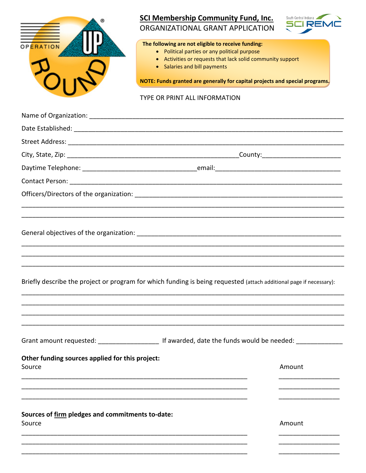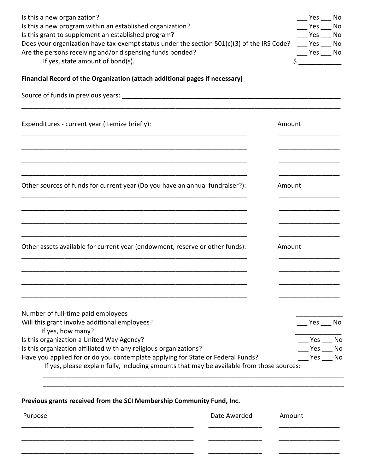| Is this a new organization?<br>Is this a new program within an established organization?<br>Is this grant to supplement an established program?<br>Does your organization have tax-exempt status under the section 501(c)(3) of the IRS Code?<br>Are the persons receiving and/or dispensing funds bonded?<br>If yes, state amount of bond(s). |        | Yes No<br>Yes<br>Yes<br>Yes No | No<br>No |  |
|------------------------------------------------------------------------------------------------------------------------------------------------------------------------------------------------------------------------------------------------------------------------------------------------------------------------------------------------|--------|--------------------------------|----------|--|
| Financial Record of the Organization (attach additional pages if necessary)                                                                                                                                                                                                                                                                    |        |                                |          |  |
|                                                                                                                                                                                                                                                                                                                                                |        |                                |          |  |
| Expenditures - current year (itemize briefly):                                                                                                                                                                                                                                                                                                 |        | Amount                         |          |  |
|                                                                                                                                                                                                                                                                                                                                                |        |                                |          |  |
| Other sources of funds for current year (Do you have an annual fundraiser?):                                                                                                                                                                                                                                                                   |        | Amount                         |          |  |
|                                                                                                                                                                                                                                                                                                                                                |        |                                |          |  |
| Other assets available for current year (endowment, reserve or other funds):                                                                                                                                                                                                                                                                   | Amount |                                |          |  |
|                                                                                                                                                                                                                                                                                                                                                |        |                                |          |  |
| Number of full-time paid employees<br>Will this grant involve additional employees?                                                                                                                                                                                                                                                            |        | Yes                            | No       |  |
| If yes, how many?                                                                                                                                                                                                                                                                                                                              |        |                                |          |  |
| Is this organization a United Way Agency?<br>Is this organization affiliated with any religious organizations?                                                                                                                                                                                                                                 |        | Yes<br>Yes                     | No<br>No |  |
| Have you applied for or do you contemplate applying for State or Federal Funds?<br>If yes, please explain fully, including amounts that may be available from those sources:                                                                                                                                                                   |        | Yes                            | No       |  |
|                                                                                                                                                                                                                                                                                                                                                |        |                                |          |  |

| Previous grants received from the SCI Membership Community Fund, Inc. |  |  |  |  |
|-----------------------------------------------------------------------|--|--|--|--|
|-----------------------------------------------------------------------|--|--|--|--|

| Purpose | Date Awarded | Amount |
|---------|--------------|--------|
|         |              |        |

\_\_\_\_\_\_\_\_\_\_\_\_\_\_\_\_\_\_\_\_\_\_\_\_\_\_\_\_\_\_\_\_\_\_\_\_\_\_\_\_\_\_\_\_\_\_\_\_\_\_\_\_\_\_\_\_\_\_\_\_\_\_\_\_\_\_\_\_\_\_\_\_\_\_\_\_\_\_\_\_\_\_\_\_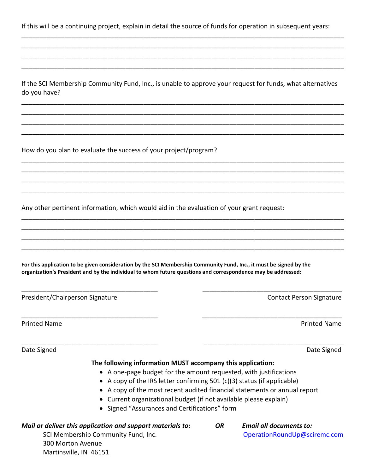If this will be a continuing project, explain in detail the source of funds for operation in subsequent years:

\_\_\_\_\_\_\_\_\_\_\_\_\_\_\_\_\_\_\_\_\_\_\_\_\_\_\_\_\_\_\_\_\_\_\_\_\_\_\_\_\_\_\_\_\_\_\_\_\_\_\_\_\_\_\_\_\_\_\_\_\_\_\_\_\_\_\_\_\_\_\_\_\_\_\_\_\_\_\_\_\_\_\_\_\_\_\_\_\_\_ \_\_\_\_\_\_\_\_\_\_\_\_\_\_\_\_\_\_\_\_\_\_\_\_\_\_\_\_\_\_\_\_\_\_\_\_\_\_\_\_\_\_\_\_\_\_\_\_\_\_\_\_\_\_\_\_\_\_\_\_\_\_\_\_\_\_\_\_\_\_\_\_\_\_\_\_\_\_\_\_\_\_\_\_\_\_\_\_\_\_ \_\_\_\_\_\_\_\_\_\_\_\_\_\_\_\_\_\_\_\_\_\_\_\_\_\_\_\_\_\_\_\_\_\_\_\_\_\_\_\_\_\_\_\_\_\_\_\_\_\_\_\_\_\_\_\_\_\_\_\_\_\_\_\_\_\_\_\_\_\_\_\_\_\_\_\_\_\_\_\_\_\_\_\_\_\_\_\_\_\_ \_\_\_\_\_\_\_\_\_\_\_\_\_\_\_\_\_\_\_\_\_\_\_\_\_\_\_\_\_\_\_\_\_\_\_\_\_\_\_\_\_\_\_\_\_\_\_\_\_\_\_\_\_\_\_\_\_\_\_\_\_\_\_\_\_\_\_\_\_\_\_\_\_\_\_\_\_\_\_\_\_\_\_\_\_\_\_\_\_\_

If the SCI Membership Community Fund, Inc., is unable to approve your request for funds, what alternatives do you have?

\_\_\_\_\_\_\_\_\_\_\_\_\_\_\_\_\_\_\_\_\_\_\_\_\_\_\_\_\_\_\_\_\_\_\_\_\_\_\_\_\_\_\_\_\_\_\_\_\_\_\_\_\_\_\_\_\_\_\_\_\_\_\_\_\_\_\_\_\_\_\_\_\_\_\_\_\_\_\_\_\_\_\_\_\_\_\_\_\_\_ \_\_\_\_\_\_\_\_\_\_\_\_\_\_\_\_\_\_\_\_\_\_\_\_\_\_\_\_\_\_\_\_\_\_\_\_\_\_\_\_\_\_\_\_\_\_\_\_\_\_\_\_\_\_\_\_\_\_\_\_\_\_\_\_\_\_\_\_\_\_\_\_\_\_\_\_\_\_\_\_\_\_\_\_\_\_\_\_\_\_ \_\_\_\_\_\_\_\_\_\_\_\_\_\_\_\_\_\_\_\_\_\_\_\_\_\_\_\_\_\_\_\_\_\_\_\_\_\_\_\_\_\_\_\_\_\_\_\_\_\_\_\_\_\_\_\_\_\_\_\_\_\_\_\_\_\_\_\_\_\_\_\_\_\_\_\_\_\_\_\_\_\_\_\_\_\_\_\_\_\_ \_\_\_\_\_\_\_\_\_\_\_\_\_\_\_\_\_\_\_\_\_\_\_\_\_\_\_\_\_\_\_\_\_\_\_\_\_\_\_\_\_\_\_\_\_\_\_\_\_\_\_\_\_\_\_\_\_\_\_\_\_\_\_\_\_\_\_\_\_\_\_\_\_\_\_\_\_\_\_\_\_\_\_\_\_\_\_\_\_\_

\_\_\_\_\_\_\_\_\_\_\_\_\_\_\_\_\_\_\_\_\_\_\_\_\_\_\_\_\_\_\_\_\_\_\_\_\_\_\_\_\_\_\_\_\_\_\_\_\_\_\_\_\_\_\_\_\_\_\_\_\_\_\_\_\_\_\_\_\_\_\_\_\_\_\_\_\_\_\_\_\_\_\_\_\_\_\_\_\_\_ \_\_\_\_\_\_\_\_\_\_\_\_\_\_\_\_\_\_\_\_\_\_\_\_\_\_\_\_\_\_\_\_\_\_\_\_\_\_\_\_\_\_\_\_\_\_\_\_\_\_\_\_\_\_\_\_\_\_\_\_\_\_\_\_\_\_\_\_\_\_\_\_\_\_\_\_\_\_\_\_\_\_\_\_\_\_\_\_\_\_ \_\_\_\_\_\_\_\_\_\_\_\_\_\_\_\_\_\_\_\_\_\_\_\_\_\_\_\_\_\_\_\_\_\_\_\_\_\_\_\_\_\_\_\_\_\_\_\_\_\_\_\_\_\_\_\_\_\_\_\_\_\_\_\_\_\_\_\_\_\_\_\_\_\_\_\_\_\_\_\_\_\_\_\_\_\_\_\_\_\_ \_\_\_\_\_\_\_\_\_\_\_\_\_\_\_\_\_\_\_\_\_\_\_\_\_\_\_\_\_\_\_\_\_\_\_\_\_\_\_\_\_\_\_\_\_\_\_\_\_\_\_\_\_\_\_\_\_\_\_\_\_\_\_\_\_\_\_\_\_\_\_\_\_\_\_\_\_\_\_\_\_\_\_\_\_\_\_\_\_\_

\_\_\_\_\_\_\_\_\_\_\_\_\_\_\_\_\_\_\_\_\_\_\_\_\_\_\_\_\_\_\_\_\_\_\_\_\_\_\_\_\_\_\_\_\_\_\_\_\_\_\_\_\_\_\_\_\_\_\_\_\_\_\_\_\_\_\_\_\_\_\_\_\_\_\_\_\_\_\_\_\_\_\_\_\_\_\_\_\_\_ \_\_\_\_\_\_\_\_\_\_\_\_\_\_\_\_\_\_\_\_\_\_\_\_\_\_\_\_\_\_\_\_\_\_\_\_\_\_\_\_\_\_\_\_\_\_\_\_\_\_\_\_\_\_\_\_\_\_\_\_\_\_\_\_\_\_\_\_\_\_\_\_\_\_\_\_\_\_\_\_\_\_\_\_\_\_\_\_\_\_ \_\_\_\_\_\_\_\_\_\_\_\_\_\_\_\_\_\_\_\_\_\_\_\_\_\_\_\_\_\_\_\_\_\_\_\_\_\_\_\_\_\_\_\_\_\_\_\_\_\_\_\_\_\_\_\_\_\_\_\_\_\_\_\_\_\_\_\_\_\_\_\_\_\_\_\_\_\_\_\_\_\_\_\_\_\_\_\_\_\_ \_\_\_\_\_\_\_\_\_\_\_\_\_\_\_\_\_\_\_\_\_\_\_\_\_\_\_\_\_\_\_\_\_\_\_\_\_\_\_\_\_\_\_\_\_\_\_\_\_\_\_\_\_\_\_\_\_\_\_\_\_\_\_\_\_\_\_\_\_\_\_\_\_\_\_\_\_\_\_\_\_\_\_\_\_\_\_\_\_\_

\_\_\_\_\_\_\_\_\_\_\_\_\_\_\_\_\_\_\_\_\_\_\_\_\_\_\_\_\_\_\_\_\_\_\_\_\_\_ \_\_\_\_\_\_\_\_\_\_\_\_\_\_\_\_\_\_\_\_\_\_\_\_\_\_\_\_\_\_\_\_\_\_\_\_\_\_\_

\_\_\_\_\_\_\_\_\_\_\_\_\_\_\_\_\_\_\_\_\_\_\_\_\_\_\_\_\_\_\_\_\_\_\_\_\_\_ \_\_\_\_\_\_\_\_\_\_\_\_\_\_\_\_\_\_\_\_\_\_\_\_\_\_\_\_\_\_\_\_\_\_\_\_\_\_\_

How do you plan to evaluate the success of your project/program?

Any other pertinent information, which would aid in the evaluation of your grant request:

**For this application to be given consideration by the SCI Membership Community Fund, Inc., it must be signed by the organization's President and by the individual to whom future questions and correspondence may be addressed:**

President/Chairperson Signature **Contact Person Signature** Contact Person Signature

Printed Name **Printed Name** Printed Name **Printed Name** 

Date Signed Date Signed

## **The following information MUST accompany this application:**

\_\_\_\_\_\_\_\_\_\_\_\_\_\_\_\_\_\_\_\_\_\_\_\_\_\_\_\_\_\_\_\_\_\_\_\_\_\_ \_\_\_\_\_\_\_\_\_\_\_\_\_\_\_\_\_\_\_\_\_\_\_\_\_\_\_\_\_\_\_\_\_\_\_\_\_\_\_

- A one-page budget for the amount requested, with justifications
- A copy of the IRS letter confirming 501 (c)(3) status (if applicable)
- A copy of the most recent audited financial statements or annual report
- Current organizational budget (if not available please explain)
- Signed "Assurances and Certifications" form

| Mail or deliver this application and support materials to: | OR | <b>Email all documents to:</b> |
|------------------------------------------------------------|----|--------------------------------|
| SCI Membership Community Fund, Inc.                        |    | OperationRoundUp@sciremc.com   |
| 300 Morton Avenue                                          |    |                                |
| Martinsville, IN 46151                                     |    |                                |